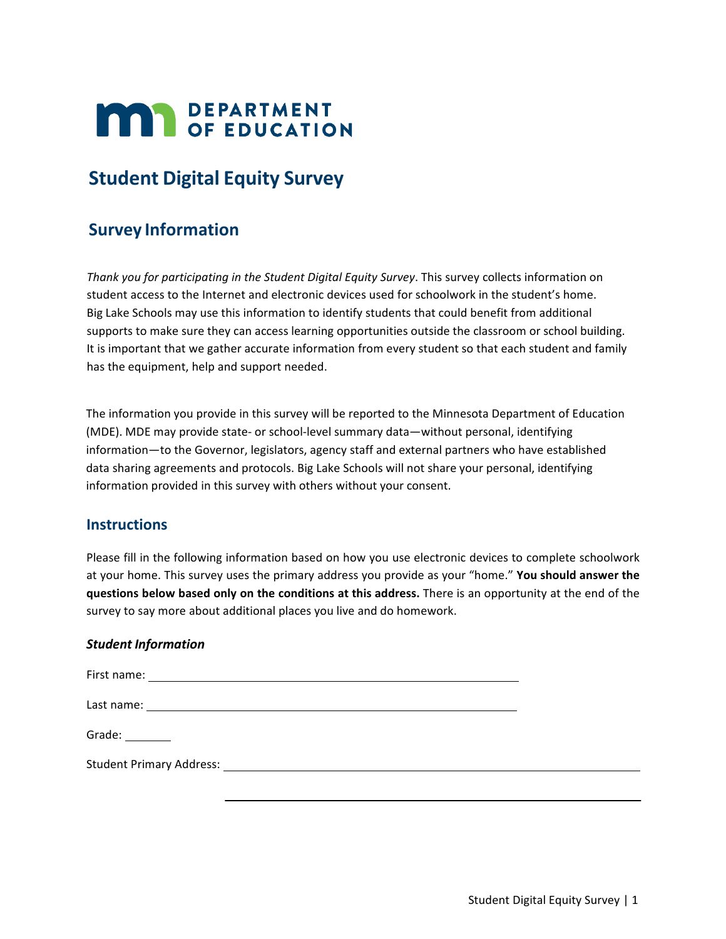# **MAY DEPARTMENT**

## **Student Digital Equity Survey**

### **Survey Information**

*Thank you for participating in the Student Digital Equity Survey*. This survey collects information on student access to the Internet and electronic devices used for schoolwork in the student's home. Big Lake Schools may use this information to identify students that could benefit from additional supports to make sure they can access learning opportunities outside the classroom or school building. It is important that we gather accurate information from every student so that each student and family has the equipment, help and support needed.

The information you provide in this survey will be reported to the Minnesota Department of Education (MDE). MDE may provide state- or school-level summary data—without personal, identifying information—to the Governor, legislators, agency staff and external partners who have established data sharing agreements and protocols. Big Lake Schools will not share your personal, identifying information provided in this survey with others without your consent.

#### **Instructions**

Please fill in the following information based on how you use electronic devices to complete schoolwork at your home. This survey uses the primary address you provide as your "home." **You should answer the questions below based only on the conditions at this address.** There is an opportunity at the end of the survey to say more about additional places you live and do homework.

#### *Student Information*

| Grade:                                                                                                                                                                                                                         |  |
|--------------------------------------------------------------------------------------------------------------------------------------------------------------------------------------------------------------------------------|--|
| Student Primary Address: National Action of the Contract of the Contract of the Contract of the Contract of the Contract of the Contract of the Contract of the Contract of the Contract of the Contract of the Contract of th |  |
|                                                                                                                                                                                                                                |  |